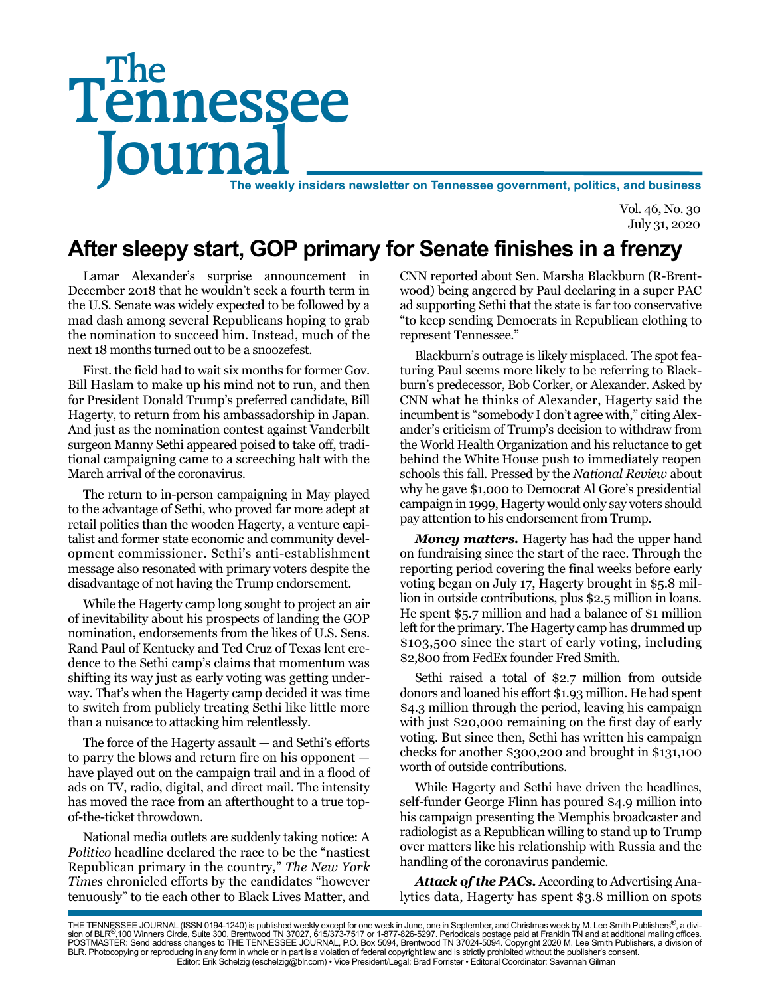# Tennessee **Journal** The weekly insiders newsletter on Tennessee government, politics, and business The

Vol. 46, No. 30 July 31, 2020

# **After sleepy start, GOP primary for Senate finishes in a frenzy**

Lamar Alexander's surprise announcement in December 2018 that he wouldn't seek a fourth term in the U.S. Senate was widely expected to be followed by a mad dash among several Republicans hoping to grab the nomination to succeed him. Instead, much of the next 18 months turned out to be a snoozefest.

First. the field had to wait six months for former Gov. Bill Haslam to make up his mind not to run, and then for President Donald Trump's preferred candidate, Bill Hagerty, to return from his ambassadorship in Japan. And just as the nomination contest against Vanderbilt surgeon Manny Sethi appeared poised to take off, traditional campaigning came to a screeching halt with the March arrival of the coronavirus.

The return to in-person campaigning in May played to the advantage of Sethi, who proved far more adept at retail politics than the wooden Hagerty, a venture capitalist and former state economic and community development commissioner. Sethi's anti-establishment message also resonated with primary voters despite the disadvantage of not having the Trump endorsement.

While the Hagerty camp long sought to project an air of inevitability about his prospects of landing the GOP nomination, endorsements from the likes of U.S. Sens. Rand Paul of Kentucky and Ted Cruz of Texas lent credence to the Sethi camp's claims that momentum was shifting its way just as early voting was getting underway. That's when the Hagerty camp decided it was time to switch from publicly treating Sethi like little more than a nuisance to attacking him relentlessly.

The force of the Hagerty assault — and Sethi's efforts to parry the blows and return fire on his opponent have played out on the campaign trail and in a flood of ads on TV, radio, digital, and direct mail. The intensity has moved the race from an afterthought to a true topof-the-ticket throwdown.

National media outlets are suddenly taking notice: A *Politico* headline declared the race to be the "nastiest Republican primary in the country," *The New York Times* chronicled efforts by the candidates "however tenuously" to tie each other to Black Lives Matter, and

CNN reported about Sen. Marsha Blackburn (R-Brentwood) being angered by Paul declaring in a super PAC ad supporting Sethi that the state is far too conservative "to keep sending Democrats in Republican clothing to represent Tennessee."

Blackburn's outrage is likely misplaced. The spot featuring Paul seems more likely to be referring to Blackburn's predecessor, Bob Corker, or Alexander. Asked by CNN what he thinks of Alexander, Hagerty said the incumbent is "somebody I don't agree with," citing Alexander's criticism of Trump's decision to withdraw from the World Health Organization and his reluctance to get behind the White House push to immediately reopen schools this fall. Pressed by the *National Review* about why he gave \$1,000 to Democrat Al Gore's presidential campaign in 1999, Hagerty would only say voters should pay attention to his endorsement from Trump.

*Money matters.* Hagerty has had the upper hand on fundraising since the start of the race. Through the reporting period covering the final weeks before early voting began on July 17, Hagerty brought in \$5.8 million in outside contributions, plus \$2.5 million in loans. He spent \$5.7 million and had a balance of \$1 million left for the primary. The Hagerty camp has drummed up \$103,500 since the start of early voting, including \$2,800 from FedEx founder Fred Smith.

Sethi raised a total of \$2.7 million from outside donors and loaned his effort \$1.93 million. He had spent \$4.3 million through the period, leaving his campaign with just \$20,000 remaining on the first day of early voting. But since then, Sethi has written his campaign checks for another \$300,200 and brought in \$131,100 worth of outside contributions.

While Hagerty and Sethi have driven the headlines, self-funder George Flinn has poured \$4.9 million into his campaign presenting the Memphis broadcaster and radiologist as a Republican willing to stand up to Trump over matters like his relationship with Russia and the handling of the coronavirus pandemic.

*Attack of the PACs.* According to Advertising Analytics data, Hagerty has spent \$3.8 million on spots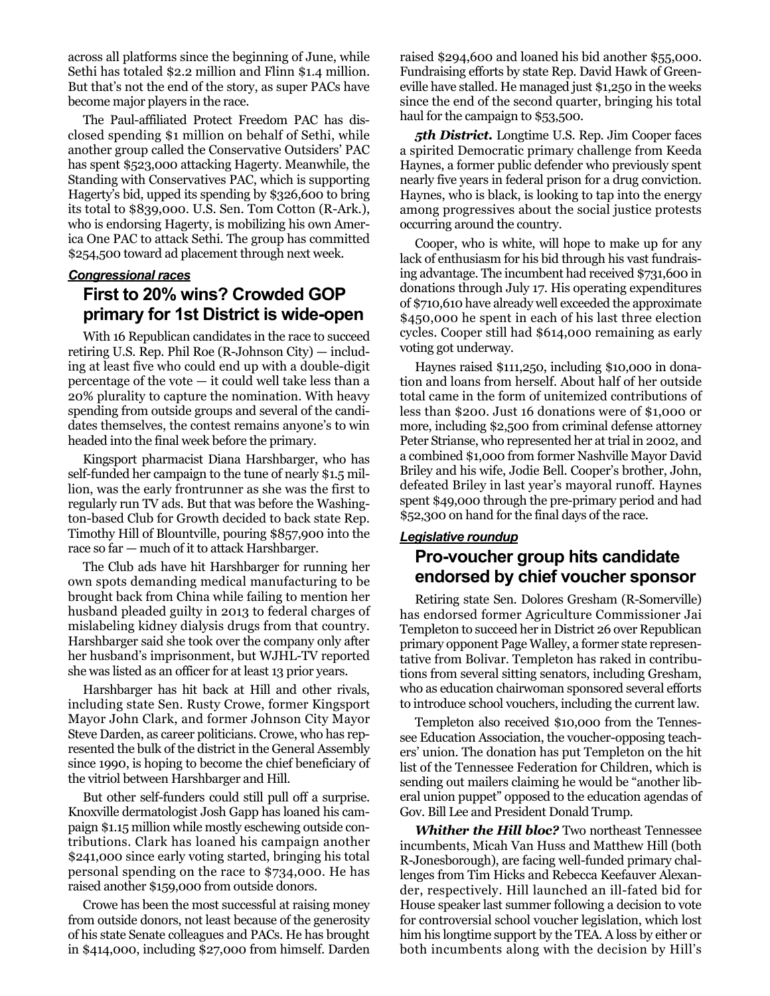across all platforms since the beginning of June, while Sethi has totaled \$2.2 million and Flinn \$1.4 million. But that's not the end of the story, as super PACs have become major players in the race.

The Paul-affiliated Protect Freedom PAC has disclosed spending \$1 million on behalf of Sethi, while another group called the Conservative Outsiders' PAC has spent \$523,000 attacking Hagerty. Meanwhile, the Standing with Conservatives PAC, which is supporting Hagerty's bid, upped its spending by \$326,600 to bring its total to \$839,000. U.S. Sen. Tom Cotton (R-Ark.), who is endorsing Hagerty, is mobilizing his own America One PAC to attack Sethi. The group has committed \$254,500 toward ad placement through next week.

#### *Congressional races*

### **First to 20% wins? Crowded GOP primary for 1st District is wide-open**

With 16 Republican candidates in the race to succeed retiring U.S. Rep. Phil Roe (R-Johnson City) — including at least five who could end up with a double-digit percentage of the vote  $-$  it could well take less than a 20% plurality to capture the nomination. With heavy spending from outside groups and several of the candidates themselves, the contest remains anyone's to win headed into the final week before the primary.

Kingsport pharmacist Diana Harshbarger, who has self-funded her campaign to the tune of nearly \$1.5 million, was the early frontrunner as she was the first to regularly run TV ads. But that was before the Washington-based Club for Growth decided to back state Rep. Timothy Hill of Blountville, pouring \$857,900 into the race so far — much of it to attack Harshbarger.

The Club ads have hit Harshbarger for running her own spots demanding medical manufacturing to be brought back from China while failing to mention her husband pleaded guilty in 2013 to federal charges of mislabeling kidney dialysis drugs from that country. Harshbarger said she took over the company only after her husband's imprisonment, but WJHL-TV reported she was listed as an officer for at least 13 prior years.

Harshbarger has hit back at Hill and other rivals, including state Sen. Rusty Crowe, former Kingsport Mayor John Clark, and former Johnson City Mayor Steve Darden, as career politicians. Crowe, who has represented the bulk of the district in the General Assembly since 1990, is hoping to become the chief beneficiary of the vitriol between Harshbarger and Hill.

But other self-funders could still pull off a surprise. Knoxville dermatologist Josh Gapp has loaned his campaign \$1.15 million while mostly eschewing outside contributions. Clark has loaned his campaign another \$241,000 since early voting started, bringing his total personal spending on the race to \$734,000. He has raised another \$159,000 from outside donors.

Crowe has been the most successful at raising money from outside donors, not least because of the generosity of his state Senate colleagues and PACs. He has brought in \$414,000, including \$27,000 from himself. Darden

raised \$294,600 and loaned his bid another \$55,000. Fundraising efforts by state Rep. David Hawk of Greeneville have stalled. He managed just \$1,250 in the weeks since the end of the second quarter, bringing his total haul for the campaign to \$53,500.

*5th District.* Longtime U.S. Rep. Jim Cooper faces a spirited Democratic primary challenge from Keeda Haynes, a former public defender who previously spent nearly five years in federal prison for a drug conviction. Haynes, who is black, is looking to tap into the energy among progressives about the social justice protests occurring around the country.

Cooper, who is white, will hope to make up for any lack of enthusiasm for his bid through his vast fundraising advantage. The incumbent had received \$731,600 in donations through July 17. His operating expenditures of \$710,610 have already well exceeded the approximate \$450,000 he spent in each of his last three election cycles. Cooper still had \$614,000 remaining as early voting got underway.

Haynes raised \$111,250, including \$10,000 in donation and loans from herself*.* About half of her outside total came in the form of unitemized contributions of less than \$200. Just 16 donations were of \$1,000 or more, including \$2,500 from criminal defense attorney Peter Strianse, who represented her at trial in 2002, and a combined \$1,000 from former Nashville Mayor David Briley and his wife, Jodie Bell. Cooper's brother, John, defeated Briley in last year's mayoral runoff. Haynes spent \$49,000 through the pre-primary period and had \$52,300 on hand for the final days of the race.

#### *Legislative roundup* **Pro-voucher group hits candidate endorsed by chief voucher sponsor**

Retiring state Sen. Dolores Gresham (R-Somerville) has endorsed former Agriculture Commissioner Jai Templeton to succeed her in District 26 over Republican primary opponent Page Walley, a former state representative from Bolivar. Templeton has raked in contributions from several sitting senators, including Gresham, who as education chairwoman sponsored several efforts to introduce school vouchers, including the current law.

Templeton also received \$10,000 from the Tennessee Education Association, the voucher-opposing teachers' union. The donation has put Templeton on the hit list of the Tennessee Federation for Children, which is sending out mailers claiming he would be "another liberal union puppet" opposed to the education agendas of Gov. Bill Lee and President Donald Trump.

*Whither the Hill bloc?* Two northeast Tennessee incumbents, Micah Van Huss and Matthew Hill (both R-Jonesborough), are facing well-funded primary challenges from Tim Hicks and Rebecca Keefauver Alexander, respectively. Hill launched an ill-fated bid for House speaker last summer following a decision to vote for controversial school voucher legislation, which lost him his longtime support by the TEA. A loss by either or both incumbents along with the decision by Hill's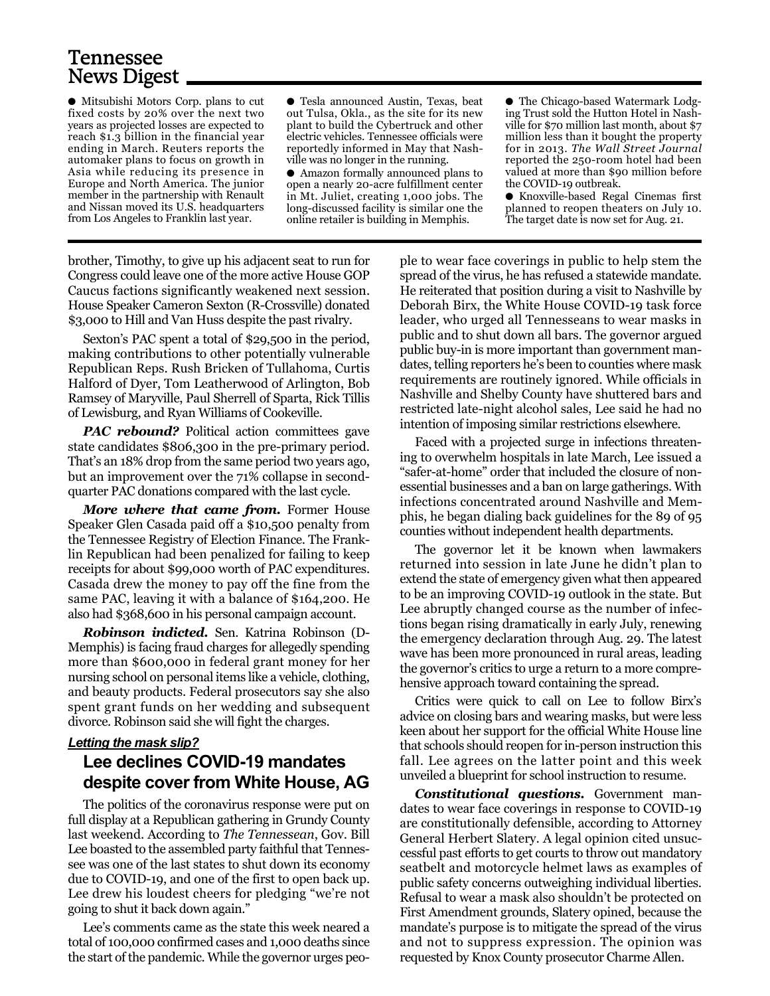# Tennessee News Digest

● Mitsubishi Motors Corp. plans to cut fixed costs by 20% over the next two years as projected losses are expected to reach \$1.3 billion in the financial year ending in March. Reuters reports the automaker plans to focus on growth in Asia while reducing its presence in Europe and North America. The junior member in the partnership with Renault and Nissan moved its U.S. headquarters from Los Angeles to Franklin last year.

● Tesla announced Austin, Texas, beat out Tulsa, Okla., as the site for its new plant to build the Cybertruck and other electric vehicles. Tennessee officials were reportedly informed in May that Nashville was no longer in the running.

● Amazon formally announced plans to open a nearly 20-acre fulfillment center in Mt. Juliet, creating 1,000 jobs. The long-discussed facility is similar one the online retailer is building in Memphis.

● The Chicago-based Watermark Lodging Trust sold the Hutton Hotel in Nashville for \$70 million last month, about \$7 million less than it bought the property for in 2013. *The Wall Street Journal* reported the 250-room hotel had been valued at more than \$90 million before the COVID-19 outbreak.

● Knoxville-based Regal Cinemas first planned to reopen theaters on July 10. The target date is now set for Aug. 21.

brother, Timothy, to give up his adjacent seat to run for Congress could leave one of the more active House GOP Caucus factions significantly weakened next session. House Speaker Cameron Sexton (R-Crossville) donated \$3,000 to Hill and Van Huss despite the past rivalry.

Sexton's PAC spent a total of \$29,500 in the period, making contributions to other potentially vulnerable Republican Reps. Rush Bricken of Tullahoma, Curtis Halford of Dyer, Tom Leatherwood of Arlington, Bob Ramsey of Maryville, Paul Sherrell of Sparta, Rick Tillis of Lewisburg, and Ryan Williams of Cookeville.

*PAC rebound?* Political action committees gave state candidates \$806,300 in the pre-primary period. That's an 18% drop from the same period two years ago, but an improvement over the 71% collapse in secondquarter PAC donations compared with the last cycle.

*More where that came from.* Former House Speaker Glen Casada paid off a \$10,500 penalty from the Tennessee Registry of Election Finance. The Franklin Republican had been penalized for failing to keep receipts for about \$99,000 worth of PAC expenditures. Casada drew the money to pay off the fine from the same PAC, leaving it with a balance of \$164,200. He also had \$368,600 in his personal campaign account.

*Robinson indicted.* Sen. Katrina Robinson (D-Memphis) is facing fraud charges for allegedly spending more than \$600,000 in federal grant money for her nursing school on personal items like a vehicle, clothing, and beauty products. Federal prosecutors say she also spent grant funds on her wedding and subsequent divorce. Robinson said she will fight the charges.

#### *Letting the mask slip?* **Lee declines COVID-19 mandates despite cover from White House, AG**

The politics of the coronavirus response were put on full display at a Republican gathering in Grundy County last weekend. According to *The Tennessean*, Gov. Bill Lee boasted to the assembled party faithful that Tennessee was one of the last states to shut down its economy due to COVID-19, and one of the first to open back up. Lee drew his loudest cheers for pledging "we're not going to shut it back down again."

Lee's comments came as the state this week neared a total of 100,000 confirmed cases and 1,000 deaths since the start of the pandemic. While the governor urges peo-

ple to wear face coverings in public to help stem the spread of the virus, he has refused a statewide mandate. He reiterated that position during a visit to Nashville by Deborah Birx, the White House COVID-19 task force leader, who urged all Tennesseans to wear masks in public and to shut down all bars. The governor argued public buy-in is more important than government mandates, telling reporters he's been to counties where mask requirements are routinely ignored. While officials in Nashville and Shelby County have shuttered bars and restricted late-night alcohol sales, Lee said he had no intention of imposing similar restrictions elsewhere.

Faced with a projected surge in infections threatening to overwhelm hospitals in late March, Lee issued a "safer-at-home" order that included the closure of nonessential businesses and a ban on large gatherings. With infections concentrated around Nashville and Memphis, he began dialing back guidelines for the 89 of 95 counties without independent health departments.

The governor let it be known when lawmakers returned into session in late June he didn't plan to extend the state of emergency given what then appeared to be an improving COVID-19 outlook in the state. But Lee abruptly changed course as the number of infections began rising dramatically in early July, renewing the emergency declaration through Aug. 29. The latest wave has been more pronounced in rural areas, leading the governor's critics to urge a return to a more comprehensive approach toward containing the spread.

Critics were quick to call on Lee to follow Birx's advice on closing bars and wearing masks, but were less keen about her support for the official White House line that schools should reopen for in-person instruction this fall. Lee agrees on the latter point and this week unveiled a blueprint for school instruction to resume.

*Constitutional questions.* Government mandates to wear face coverings in response to COVID-19 are constitutionally defensible, according to Attorney General Herbert Slatery. A legal opinion cited unsuccessful past efforts to get courts to throw out mandatory seatbelt and motorcycle helmet laws as examples of public safety concerns outweighing individual liberties. Refusal to wear a mask also shouldn't be protected on First Amendment grounds, Slatery opined, because the mandate's purpose is to mitigate the spread of the virus and not to suppress expression. The opinion was requested by Knox County prosecutor Charme Allen.